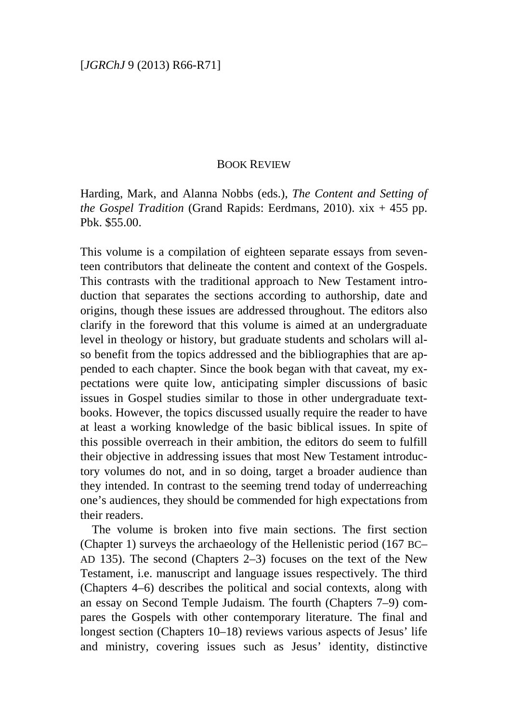## BOOK REVIEW

Harding, Mark, and Alanna Nobbs (eds.), *The Content and Setting of the Gospel Tradition* (Grand Rapids: Eerdmans, 2010). xix + 455 pp. Pbk. \$55.00.

This volume is a compilation of eighteen separate essays from seventeen contributors that delineate the content and context of the Gospels. This contrasts with the traditional approach to New Testament introduction that separates the sections according to authorship, date and origins, though these issues are addressed throughout. The editors also clarify in the foreword that this volume is aimed at an undergraduate level in theology or history, but graduate students and scholars will also benefit from the topics addressed and the bibliographies that are appended to each chapter. Since the book began with that caveat, my expectations were quite low, anticipating simpler discussions of basic issues in Gospel studies similar to those in other undergraduate textbooks. However, the topics discussed usually require the reader to have at least a working knowledge of the basic biblical issues. In spite of this possible overreach in their ambition, the editors do seem to fulfill their objective in addressing issues that most New Testament introductory volumes do not, and in so doing, target a broader audience than they intended. In contrast to the seeming trend today of underreaching one's audiences, they should be commended for high expectations from their readers.

The volume is broken into five main sections. The first section (Chapter 1) surveys the archaeology of the Hellenistic period (167 BC– AD 135). The second (Chapters 2–3) focuses on the text of the New Testament, i.e. manuscript and language issues respectively. The third (Chapters 4–6) describes the political and social contexts, along with an essay on Second Temple Judaism. The fourth (Chapters 7–9) compares the Gospels with other contemporary literature. The final and longest section (Chapters 10–18) reviews various aspects of Jesus' life and ministry, covering issues such as Jesus' identity, distinctive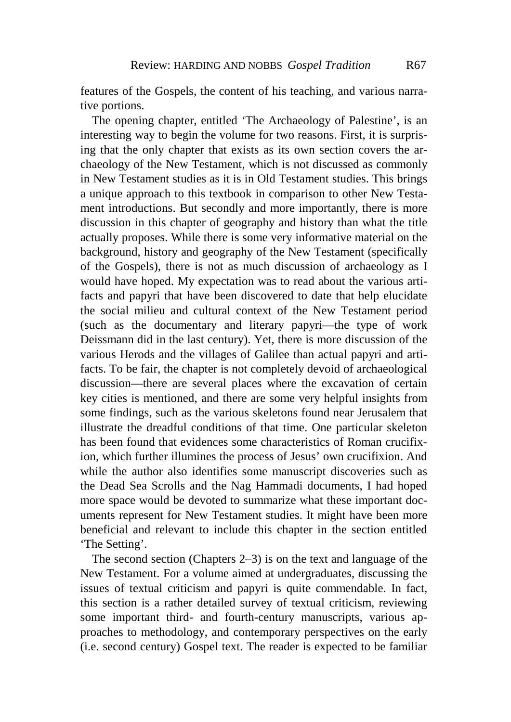features of the Gospels, the content of his teaching, and various narrative portions.

The opening chapter, entitled 'The Archaeology of Palestine', is an interesting way to begin the volume for two reasons. First, it is surprising that the only chapter that exists as its own section covers the archaeology of the New Testament, which is not discussed as commonly in New Testament studies as it is in Old Testament studies. This brings a unique approach to this textbook in comparison to other New Testament introductions. But secondly and more importantly, there is more discussion in this chapter of geography and history than what the title actually proposes. While there is some very informative material on the background, history and geography of the New Testament (specifically of the Gospels), there is not as much discussion of archaeology as I would have hoped. My expectation was to read about the various artifacts and papyri that have been discovered to date that help elucidate the social milieu and cultural context of the New Testament period (such as the documentary and literary papyri—the type of work Deissmann did in the last century). Yet, there is more discussion of the various Herods and the villages of Galilee than actual papyri and artifacts. To be fair, the chapter is not completely devoid of archaeological discussion—there are several places where the excavation of certain key cities is mentioned, and there are some very helpful insights from some findings, such as the various skeletons found near Jerusalem that illustrate the dreadful conditions of that time. One particular skeleton has been found that evidences some characteristics of Roman crucifixion, which further illumines the process of Jesus' own crucifixion. And while the author also identifies some manuscript discoveries such as the Dead Sea Scrolls and the Nag Hammadi documents, I had hoped more space would be devoted to summarize what these important documents represent for New Testament studies. It might have been more beneficial and relevant to include this chapter in the section entitled 'The Setting'.

The second section (Chapters 2–3) is on the text and language of the New Testament. For a volume aimed at undergraduates, discussing the issues of textual criticism and papyri is quite commendable. In fact, this section is a rather detailed survey of textual criticism, reviewing some important third- and fourth-century manuscripts, various approaches to methodology, and contemporary perspectives on the early (i.e. second century) Gospel text. The reader is expected to be familiar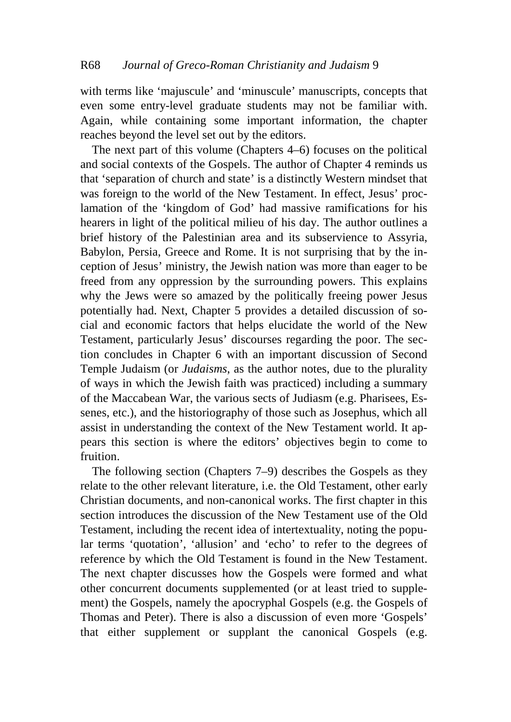with terms like 'majuscule' and 'minuscule' manuscripts, concepts that even some entry-level graduate students may not be familiar with. Again, while containing some important information, the chapter reaches beyond the level set out by the editors.

The next part of this volume (Chapters 4–6) focuses on the political and social contexts of the Gospels. The author of Chapter 4 reminds us that 'separation of church and state' is a distinctly Western mindset that was foreign to the world of the New Testament. In effect, Jesus' proclamation of the 'kingdom of God' had massive ramifications for his hearers in light of the political milieu of his day. The author outlines a brief history of the Palestinian area and its subservience to Assyria, Babylon, Persia, Greece and Rome. It is not surprising that by the inception of Jesus' ministry, the Jewish nation was more than eager to be freed from any oppression by the surrounding powers. This explains why the Jews were so amazed by the politically freeing power Jesus potentially had. Next, Chapter 5 provides a detailed discussion of social and economic factors that helps elucidate the world of the New Testament, particularly Jesus' discourses regarding the poor. The section concludes in Chapter 6 with an important discussion of Second Temple Judaism (or *Judaisms*, as the author notes, due to the plurality of ways in which the Jewish faith was practiced) including a summary of the Maccabean War, the various sects of Judiasm (e.g. Pharisees, Essenes, etc.), and the historiography of those such as Josephus, which all assist in understanding the context of the New Testament world. It appears this section is where the editors' objectives begin to come to fruition.

The following section (Chapters 7–9) describes the Gospels as they relate to the other relevant literature, i.e. the Old Testament, other early Christian documents, and non-canonical works. The first chapter in this section introduces the discussion of the New Testament use of the Old Testament, including the recent idea of intertextuality, noting the popular terms 'quotation', 'allusion' and 'echo' to refer to the degrees of reference by which the Old Testament is found in the New Testament. The next chapter discusses how the Gospels were formed and what other concurrent documents supplemented (or at least tried to supplement) the Gospels, namely the apocryphal Gospels (e.g. the Gospels of Thomas and Peter). There is also a discussion of even more 'Gospels' that either supplement or supplant the canonical Gospels (e.g.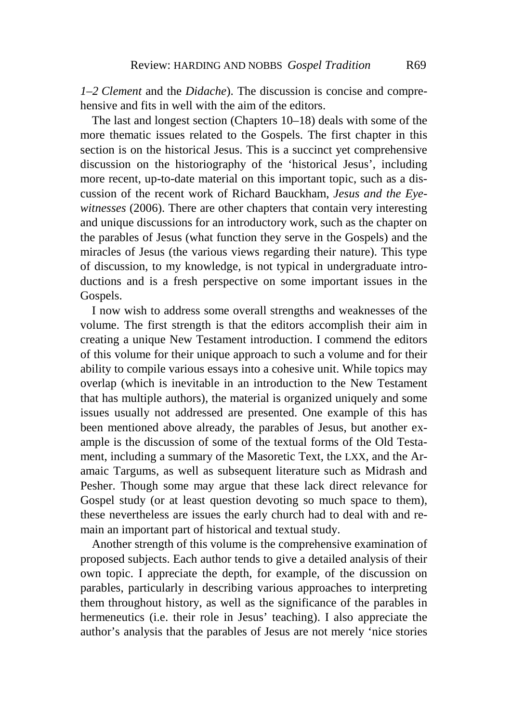*1–2 Clement* and the *Didache*). The discussion is concise and comprehensive and fits in well with the aim of the editors.

The last and longest section (Chapters 10–18) deals with some of the more thematic issues related to the Gospels. The first chapter in this section is on the historical Jesus. This is a succinct yet comprehensive discussion on the historiography of the 'historical Jesus', including more recent, up-to-date material on this important topic, such as a discussion of the recent work of Richard Bauckham, *Jesus and the Eyewitnesses* (2006). There are other chapters that contain very interesting and unique discussions for an introductory work, such as the chapter on the parables of Jesus (what function they serve in the Gospels) and the miracles of Jesus (the various views regarding their nature). This type of discussion, to my knowledge, is not typical in undergraduate introductions and is a fresh perspective on some important issues in the Gospels.

I now wish to address some overall strengths and weaknesses of the volume. The first strength is that the editors accomplish their aim in creating a unique New Testament introduction. I commend the editors of this volume for their unique approach to such a volume and for their ability to compile various essays into a cohesive unit. While topics may overlap (which is inevitable in an introduction to the New Testament that has multiple authors), the material is organized uniquely and some issues usually not addressed are presented. One example of this has been mentioned above already, the parables of Jesus, but another example is the discussion of some of the textual forms of the Old Testament, including a summary of the Masoretic Text, the LXX, and the Aramaic Targums, as well as subsequent literature such as Midrash and Pesher. Though some may argue that these lack direct relevance for Gospel study (or at least question devoting so much space to them), these nevertheless are issues the early church had to deal with and remain an important part of historical and textual study.

Another strength of this volume is the comprehensive examination of proposed subjects. Each author tends to give a detailed analysis of their own topic. I appreciate the depth, for example, of the discussion on parables, particularly in describing various approaches to interpreting them throughout history, as well as the significance of the parables in hermeneutics (i.e. their role in Jesus' teaching). I also appreciate the author's analysis that the parables of Jesus are not merely 'nice stories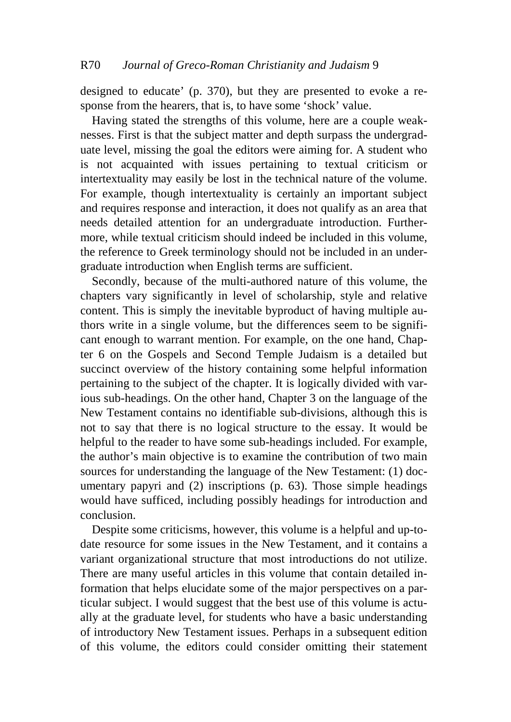designed to educate' (p. 370), but they are presented to evoke a response from the hearers, that is, to have some 'shock' value.

Having stated the strengths of this volume, here are a couple weaknesses. First is that the subject matter and depth surpass the undergraduate level, missing the goal the editors were aiming for. A student who is not acquainted with issues pertaining to textual criticism or intertextuality may easily be lost in the technical nature of the volume. For example, though intertextuality is certainly an important subject and requires response and interaction, it does not qualify as an area that needs detailed attention for an undergraduate introduction. Furthermore, while textual criticism should indeed be included in this volume, the reference to Greek terminology should not be included in an undergraduate introduction when English terms are sufficient.

Secondly, because of the multi-authored nature of this volume, the chapters vary significantly in level of scholarship, style and relative content. This is simply the inevitable byproduct of having multiple authors write in a single volume, but the differences seem to be significant enough to warrant mention. For example, on the one hand, Chapter 6 on the Gospels and Second Temple Judaism is a detailed but succinct overview of the history containing some helpful information pertaining to the subject of the chapter. It is logically divided with various sub-headings. On the other hand, Chapter 3 on the language of the New Testament contains no identifiable sub-divisions, although this is not to say that there is no logical structure to the essay. It would be helpful to the reader to have some sub-headings included. For example, the author's main objective is to examine the contribution of two main sources for understanding the language of the New Testament: (1) documentary papyri and (2) inscriptions (p. 63). Those simple headings would have sufficed, including possibly headings for introduction and conclusion.

Despite some criticisms, however, this volume is a helpful and up-todate resource for some issues in the New Testament, and it contains a variant organizational structure that most introductions do not utilize. There are many useful articles in this volume that contain detailed information that helps elucidate some of the major perspectives on a particular subject. I would suggest that the best use of this volume is actually at the graduate level, for students who have a basic understanding of introductory New Testament issues. Perhaps in a subsequent edition of this volume, the editors could consider omitting their statement